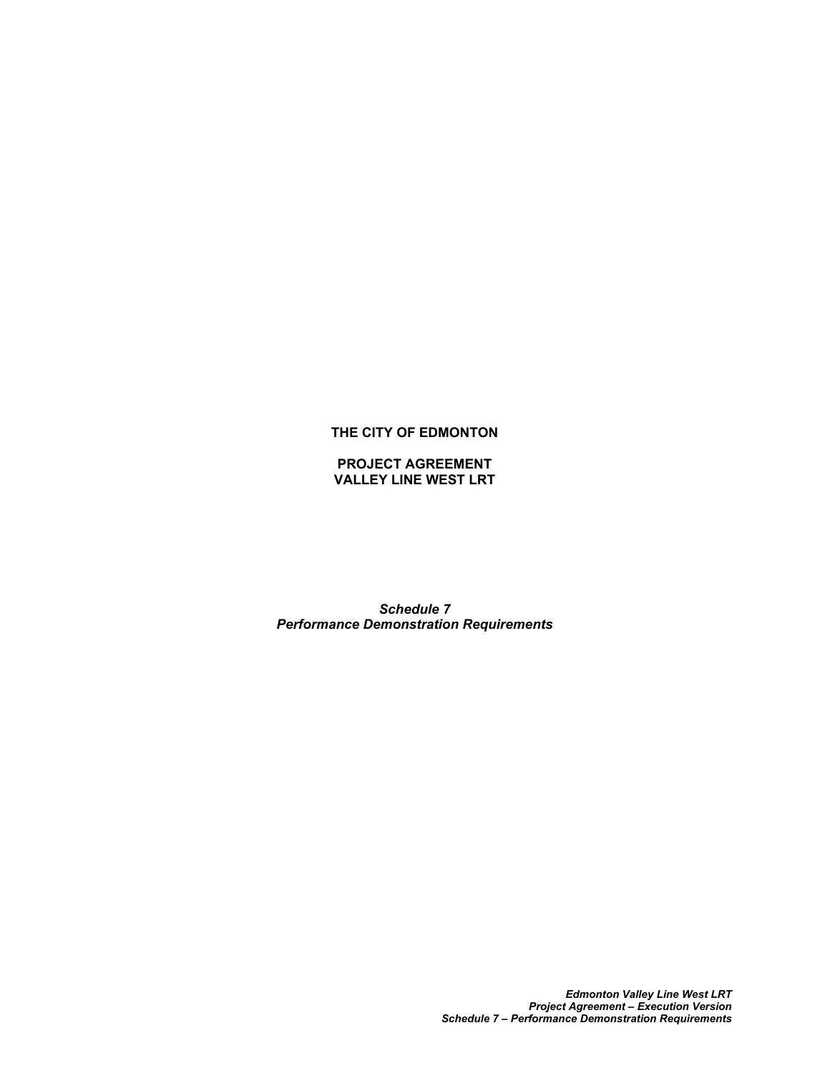## **THE CITY OF EDMONTON**

**PROJECT AGREEMENT VALLEY LINE WEST LRT**

*Schedule 7 Performance Demonstration Requirements*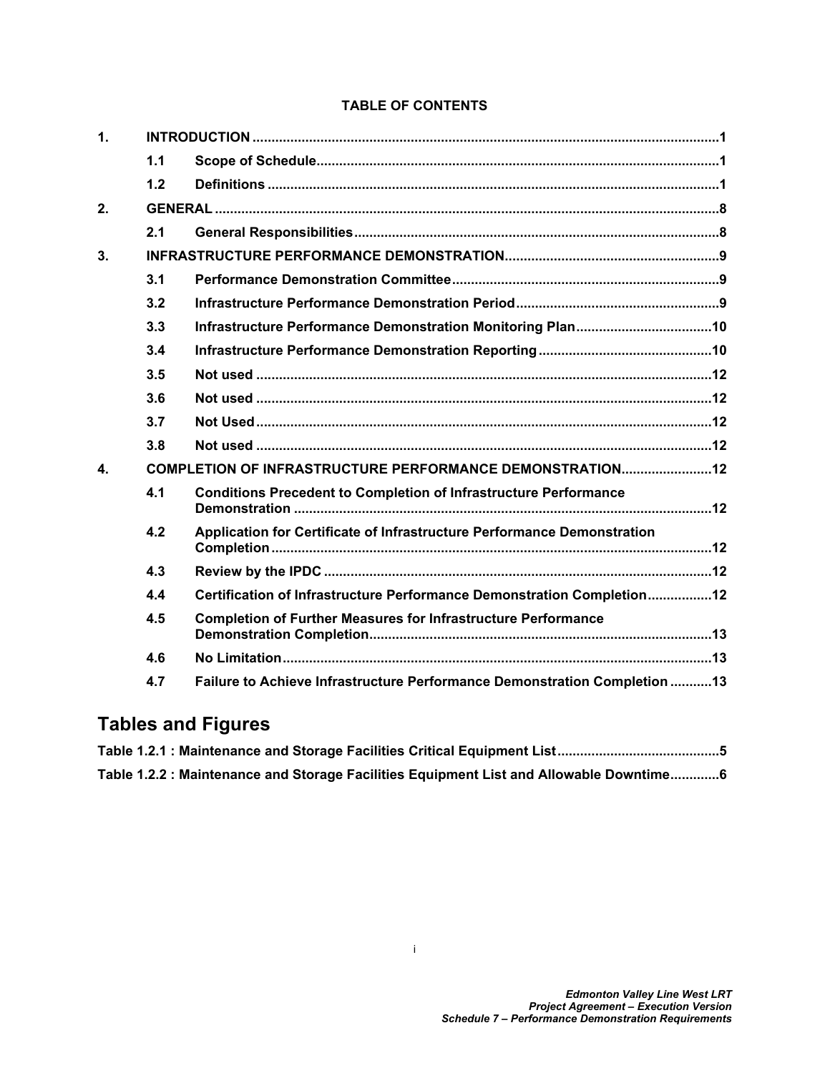# **TABLE OF CONTENTS**

| $\mathbf{1}$     |                                                          |                                                                           |  |  |  |
|------------------|----------------------------------------------------------|---------------------------------------------------------------------------|--|--|--|
|                  | 1.1                                                      |                                                                           |  |  |  |
|                  | 1.2                                                      |                                                                           |  |  |  |
| 2.               |                                                          |                                                                           |  |  |  |
|                  | 2.1                                                      |                                                                           |  |  |  |
| 3.               |                                                          |                                                                           |  |  |  |
|                  | 3.1                                                      |                                                                           |  |  |  |
|                  | 3.2                                                      |                                                                           |  |  |  |
|                  | 3.3                                                      |                                                                           |  |  |  |
|                  | 3.4                                                      |                                                                           |  |  |  |
|                  | 3.5                                                      |                                                                           |  |  |  |
|                  | 3.6                                                      |                                                                           |  |  |  |
|                  | 3.7                                                      |                                                                           |  |  |  |
|                  | 3.8                                                      |                                                                           |  |  |  |
| $\blacktriangle$ | COMPLETION OF INFRASTRUCTURE PERFORMANCE DEMONSTRATION12 |                                                                           |  |  |  |
|                  | 4.1                                                      | <b>Conditions Precedent to Completion of Infrastructure Performance</b>   |  |  |  |
|                  | 4.2                                                      | Application for Certificate of Infrastructure Performance Demonstration   |  |  |  |
|                  | 4.3                                                      |                                                                           |  |  |  |
|                  | 4.4                                                      | Certification of Infrastructure Performance Demonstration Completion12    |  |  |  |
|                  | 4.5                                                      | <b>Completion of Further Measures for Infrastructure Performance</b>      |  |  |  |
|                  | 4.6                                                      |                                                                           |  |  |  |
|                  | 4.7                                                      | Failure to Achieve Infrastructure Performance Demonstration Completion 13 |  |  |  |

# **Tables and Figures**

| Table 1.2.2 : Maintenance and Storage Facilities Equipment List and Allowable Downtime6 |  |
|-----------------------------------------------------------------------------------------|--|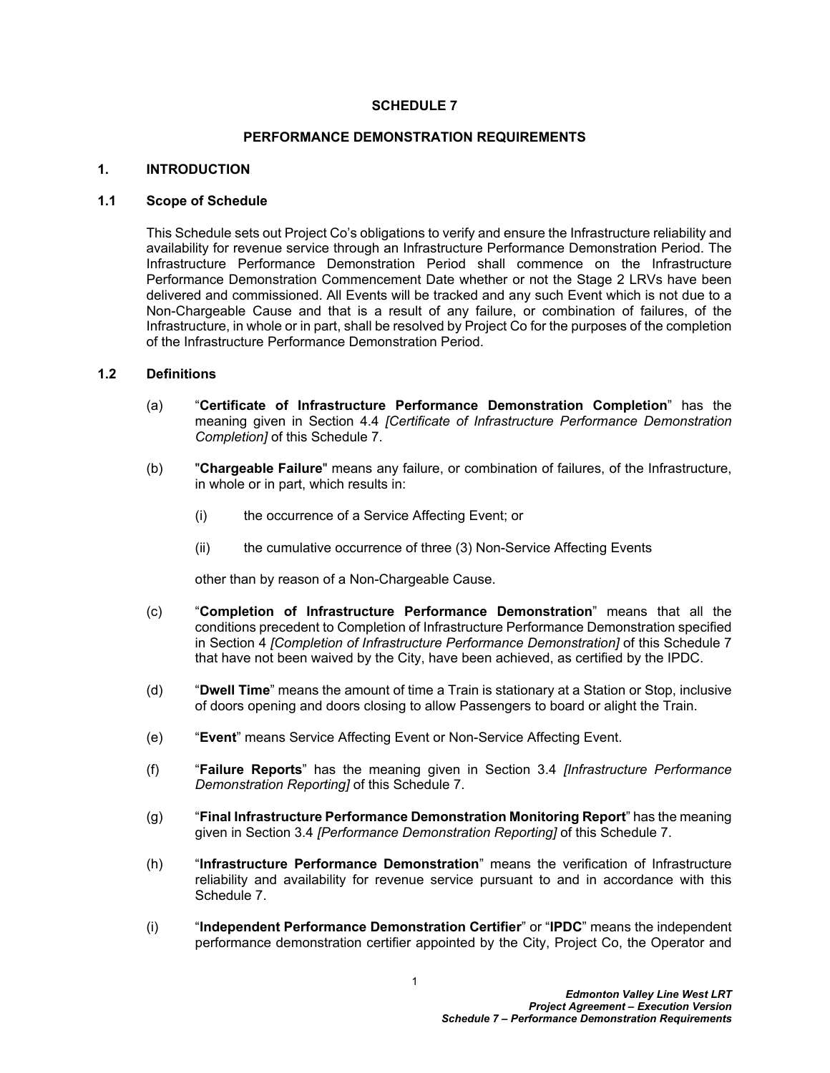#### **SCHEDULE 7**

#### **PERFORMANCE DEMONSTRATION REQUIREMENTS**

#### <span id="page-2-0"></span>**1. INTRODUCTION**

#### <span id="page-2-1"></span>**1.1 Scope of Schedule**

This Schedule sets out Project Co's obligations to verify and ensure the Infrastructure reliability and availability for revenue service through an Infrastructure Performance Demonstration Period. The Infrastructure Performance Demonstration Period shall commence on the Infrastructure Performance Demonstration Commencement Date whether or not the Stage 2 LRVs have been delivered and commissioned. All Events will be tracked and any such Event which is not due to a Non-Chargeable Cause and that is a result of any failure, or combination of failures, of the Infrastructure, in whole or in part, shall be resolved by Project Co for the purposes of the completion of the Infrastructure Performance Demonstration Period.

#### <span id="page-2-2"></span>**1.2 Definitions**

- (a) "**Certificate of Infrastructure Performance Demonstration Completion**" has the meaning given in Section [4.4](#page-13-8) *[Certificate of Infrastructure Performance Demonstration Completion]* of this Schedule 7.
- (b) "**Chargeable Failure**" means any failure, or combination of failures, of the Infrastructure, in whole or in part, which results in:
	- (i) the occurrence of a Service Affecting Event; or
	- (ii) the cumulative occurrence of three (3) Non-Service Affecting Events

other than by reason of a Non-Chargeable Cause.

- (c) "**Completion of Infrastructure Performance Demonstration**" means that all the conditions precedent to Completion of Infrastructure Performance Demonstration specified in Section [4](#page-13-4) *[Completion of Infrastructure Performance Demonstration]* of this Schedule 7 that have not been waived by the City, have been achieved, as certified by the IPDC.
- (d) "**Dwell Time**" means the amount of time a Train is stationary at a Station or Stop, inclusive of doors opening and doors closing to allow Passengers to board or alight the Train.
- (e) "**Event**" means Service Affecting Event or Non-Service Affecting Event.
- (f) "**Failure Reports**" has the meaning given in Section [3.4](#page-11-1) *[Infrastructure Performance Demonstration Reporting]* of this Schedule 7.
- (g) "**Final Infrastructure Performance Demonstration Monitoring Report**" has the meaning given in Section [3.4](#page-11-1) *[Performance Demonstration Reporting]* of this Schedule 7.
- (h) "**Infrastructure Performance Demonstration**" means the verification of Infrastructure reliability and availability for revenue service pursuant to and in accordance with this Schedule 7.
- (i) "**Independent Performance Demonstration Certifier**" or "**IPDC**" means the independent performance demonstration certifier appointed by the City, Project Co, the Operator and

1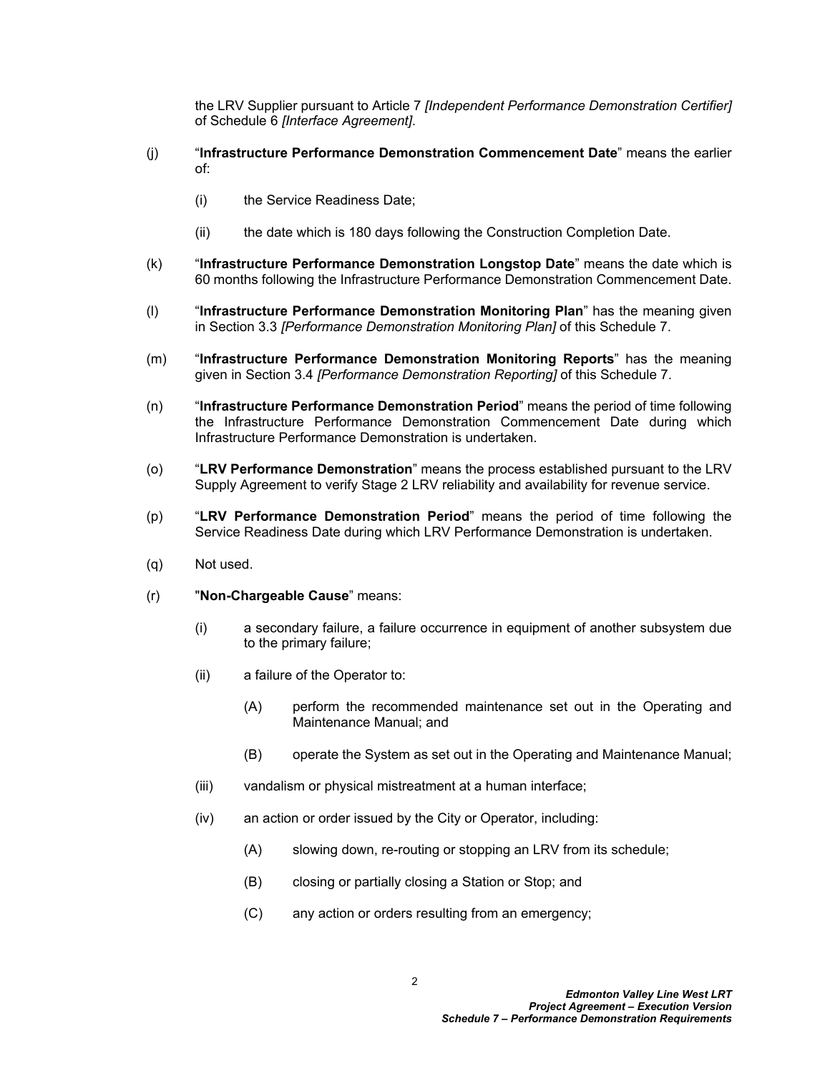the LRV Supplier pursuant to Article 7 *[Independent Performance Demonstration Certifier]* of Schedule 6 *[Interface Agreement]*.

- (j) "**Infrastructure Performance Demonstration Commencement Date**" means the earlier of:
	- (i) the Service Readiness Date;
	- (ii) the date which is 180 days following the Construction Completion Date.
- (k) "**Infrastructure Performance Demonstration Longstop Date**" means the date which is 60 months following the Infrastructure Performance Demonstration Commencement Date.
- (l) "**Infrastructure Performance Demonstration Monitoring Plan**" has the meaning given in Section [3.3](#page-11-0) *[Performance Demonstration Monitoring Plan]* of this Schedule 7.
- (m) "**Infrastructure Performance Demonstration Monitoring Reports**" has the meaning given in Section [3.4](#page-11-1) *[Performance Demonstration Reporting]* of this Schedule 7.
- (n) "**Infrastructure Performance Demonstration Period**" means the period of time following the Infrastructure Performance Demonstration Commencement Date during which Infrastructure Performance Demonstration is undertaken.
- (o) "**LRV Performance Demonstration**" means the process established pursuant to the LRV Supply Agreement to verify Stage 2 LRV reliability and availability for revenue service.
- (p) "**LRV Performance Demonstration Period**" means the period of time following the Service Readiness Date during which LRV Performance Demonstration is undertaken.
- (q) Not used.
- (r) "**Non-Chargeable Cause**" means:
	- (i) a secondary failure, a failure occurrence in equipment of another subsystem due to the primary failure;
	- (ii) a failure of the Operator to:
		- (A) perform the recommended maintenance set out in the Operating and Maintenance Manual; and
		- (B) operate the System as set out in the Operating and Maintenance Manual;
	- (iii) vandalism or physical mistreatment at a human interface;
	- (iv) an action or order issued by the City or Operator, including:
		- (A) slowing down, re-routing or stopping an LRV from its schedule;
		- (B) closing or partially closing a Station or Stop; and
		- (C) any action or orders resulting from an emergency;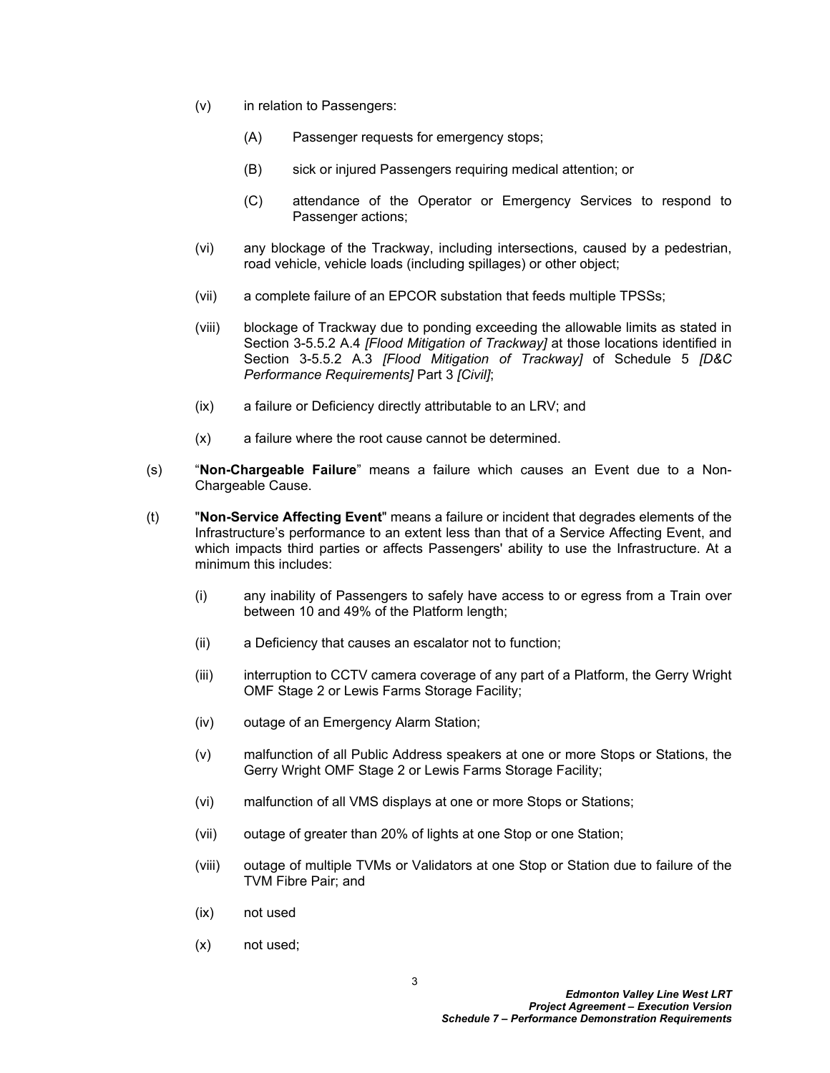- (v) in relation to Passengers:
	- (A) Passenger requests for emergency stops;
	- (B) sick or injured Passengers requiring medical attention; or
	- (C) attendance of the Operator or Emergency Services to respond to Passenger actions;
- (vi) any blockage of the Trackway, including intersections, caused by a pedestrian, road vehicle, vehicle loads (including spillages) or other object;
- (vii) a complete failure of an EPCOR substation that feeds multiple TPSSs;
- (viii) blockage of Trackway due to ponding exceeding the allowable limits as stated in Section 3-5.5.2 A.4 *[Flood Mitigation of Trackway]* at those locations identified in Section 3-5.5.2 A.3 *[Flood Mitigation of Trackway]* of Schedule 5 *[D&C Performance Requirements]* Part 3 *[Civil]*;
- (ix) a failure or Deficiency directly attributable to an LRV; and
- (x) a failure where the root cause cannot be determined.
- (s) "**Non-Chargeable Failure**" means a failure which causes an Event due to a Non-Chargeable Cause.
- (t) "**Non-Service Affecting Event**" means a failure or incident that degrades elements of the Infrastructure's performance to an extent less than that of a Service Affecting Event, and which impacts third parties or affects Passengers' ability to use the Infrastructure. At a minimum this includes:
	- (i) any inability of Passengers to safely have access to or egress from a Train over between 10 and 49% of the Platform length;
	- (ii) a Deficiency that causes an escalator not to function;
	- (iii) interruption to CCTV camera coverage of any part of a Platform, the Gerry Wright OMF Stage 2 or Lewis Farms Storage Facility;
	- (iv) outage of an Emergency Alarm Station;
	- (v) malfunction of all Public Address speakers at one or more Stops or Stations, the Gerry Wright OMF Stage 2 or Lewis Farms Storage Facility;
	- (vi) malfunction of all VMS displays at one or more Stops or Stations;
	- (vii) outage of greater than 20% of lights at one Stop or one Station;
	- (viii) outage of multiple TVMs or Validators at one Stop or Station due to failure of the TVM Fibre Pair; and
	- (ix) not used
	- (x) not used;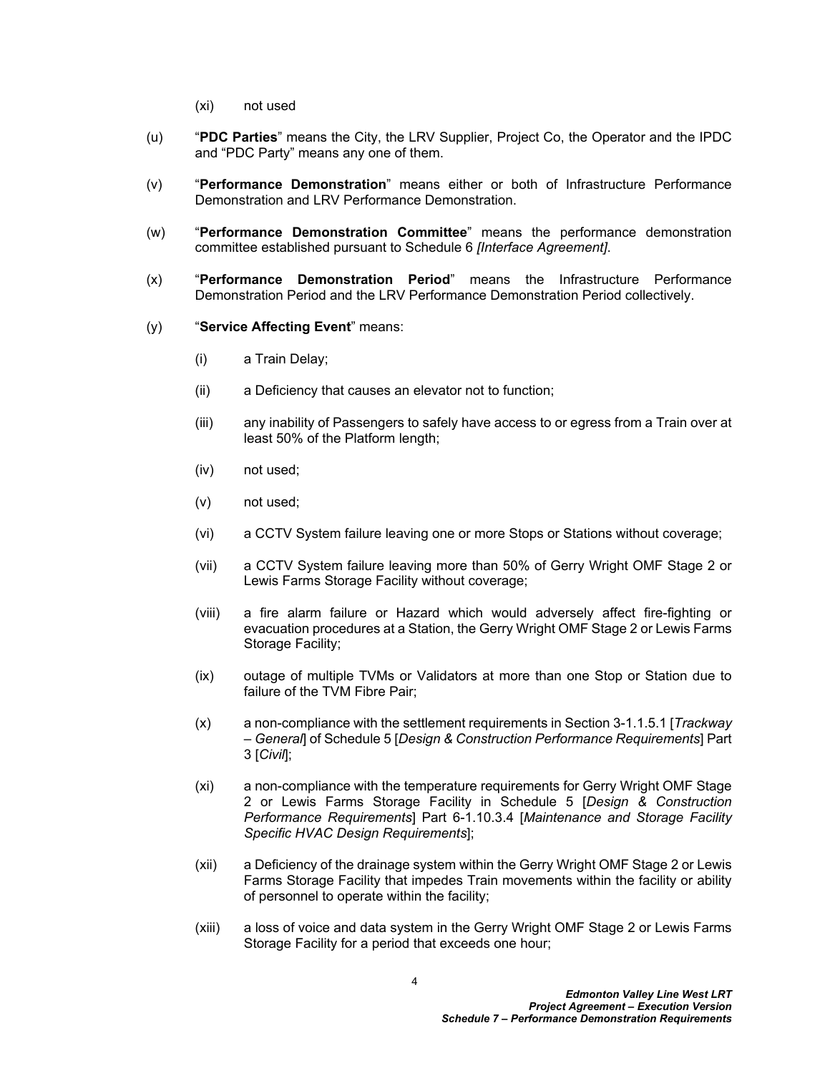- (xi) not used
- (u) "**PDC Parties**" means the City, the LRV Supplier, Project Co, the Operator and the IPDC and "PDC Party" means any one of them.
- (v) "**Performance Demonstration**" means either or both of Infrastructure Performance Demonstration and LRV Performance Demonstration.
- (w) "**Performance Demonstration Committee**" means the performance demonstration committee established pursuant to Schedule 6 *[Interface Agreement]*.
- (x) "**Performance Demonstration Period**" means the Infrastructure Performance Demonstration Period and the LRV Performance Demonstration Period collectively.
- (y) "**Service Affecting Event**" means:
	- (i) a Train Delay;
	- (ii) a Deficiency that causes an elevator not to function;
	- (iii) any inability of Passengers to safely have access to or egress from a Train over at least 50% of the Platform length;
	- (iv) not used;
	- (v) not used;
	- (vi) a CCTV System failure leaving one or more Stops or Stations without coverage;
	- (vii) a CCTV System failure leaving more than 50% of Gerry Wright OMF Stage 2 or Lewis Farms Storage Facility without coverage;
	- (viii) a fire alarm failure or Hazard which would adversely affect fire-fighting or evacuation procedures at a Station, the Gerry Wright OMF Stage 2 or Lewis Farms Storage Facility;
	- (ix) outage of multiple TVMs or Validators at more than one Stop or Station due to failure of the TVM Fibre Pair;
	- (x) a non-compliance with the settlement requirements in Section 3-1.1.5.1 [*Trackway – General*] of Schedule 5 [*Design & Construction Performance Requirements*] Part 3 [*Civil*];
	- (xi) a non-compliance with the temperature requirements for Gerry Wright OMF Stage 2 or Lewis Farms Storage Facility in Schedule 5 [*Design & Construction Performance Requirements*] Part 6-1.10.3.4 [*Maintenance and Storage Facility Specific HVAC Design Requirements*];
	- (xii) a Deficiency of the drainage system within the Gerry Wright OMF Stage 2 or Lewis Farms Storage Facility that impedes Train movements within the facility or ability of personnel to operate within the facility;
	- (xiii) a loss of voice and data system in the Gerry Wright OMF Stage 2 or Lewis Farms Storage Facility for a period that exceeds one hour;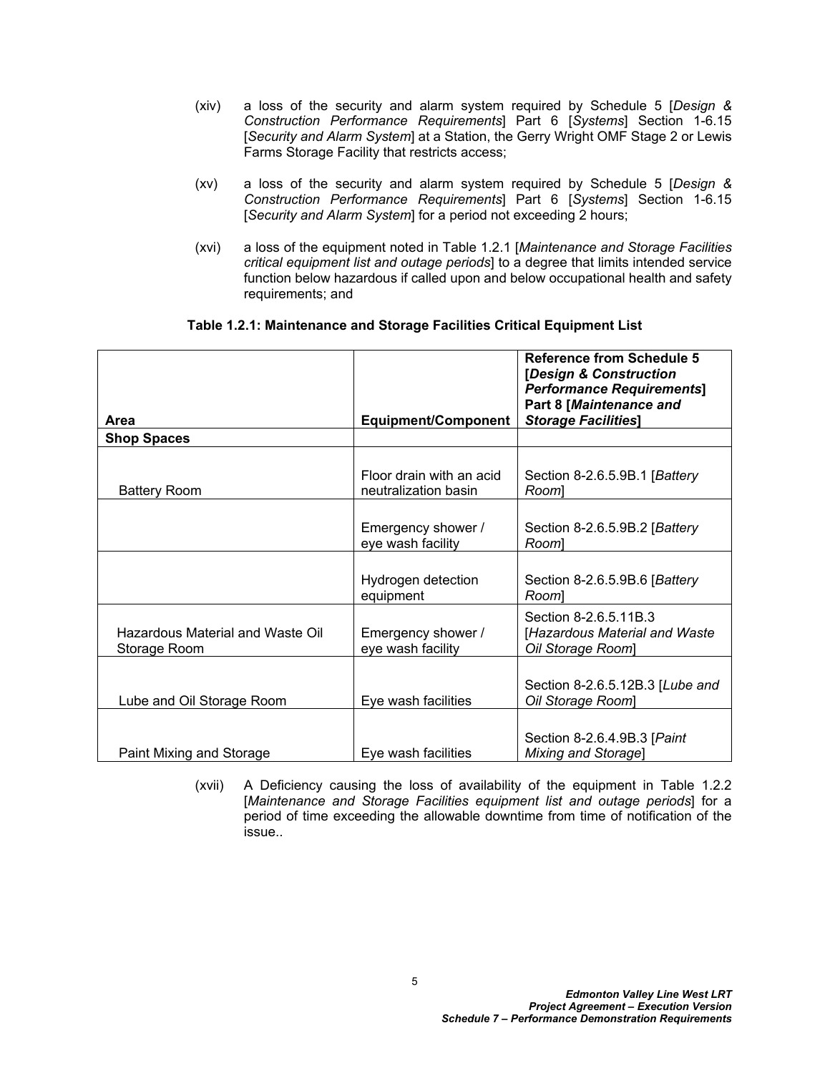- (xiv) a loss of the security and alarm system required by Schedule 5 [*Design & Construction Performance Requirements*] Part 6 [*Systems*] Section 1-6.15 [*Security and Alarm System*] at a Station, the Gerry Wright OMF Stage 2 or Lewis Farms Storage Facility that restricts access;
- (xv) a loss of the security and alarm system required by Schedule 5 [*Design & Construction Performance Requirements*] Part 6 [*Systems*] Section 1-6.15 [*Security and Alarm System*] for a period not exceeding 2 hours;
- (xvi) a loss of the equipment noted in Table 1.2.1 [*Maintenance and Storage Facilities critical equipment list and outage periods*] to a degree that limits intended service function below hazardous if called upon and below occupational health and safety requirements; and

<span id="page-6-0"></span>

|                                                  |                                                  | <b>Reference from Schedule 5</b><br>[Design & Construction<br><b>Performance Requirements]</b> |
|--------------------------------------------------|--------------------------------------------------|------------------------------------------------------------------------------------------------|
| Area                                             | <b>Equipment/Component</b>                       | Part 8 [Maintenance and<br><b>Storage Facilities]</b>                                          |
| <b>Shop Spaces</b>                               |                                                  |                                                                                                |
| <b>Battery Room</b>                              | Floor drain with an acid<br>neutralization basin | Section 8-2.6.5.9B.1 [Battery<br>Rooml                                                         |
|                                                  | Emergency shower /<br>eye wash facility          | Section 8-2.6.5.9B.2 [Battery<br>Rooml                                                         |
|                                                  | Hydrogen detection<br>equipment                  | Section 8-2.6.5.9B.6 [Battery<br>Rooml                                                         |
| Hazardous Material and Waste Oil<br>Storage Room | Emergency shower /<br>eye wash facility          | Section 8-2.6.5.11B.3<br>[Hazardous Material and Waste<br>Oil Storage Room]                    |
| Lube and Oil Storage Room                        | Eye wash facilities                              | Section 8-2.6.5.12B.3 [Lube and<br>Oil Storage Room]                                           |
| Paint Mixing and Storage                         | Eye wash facilities                              | Section 8-2.6.4.9B.3 [Paint<br>Mixing and Storage]                                             |

(xvii) A Deficiency causing the loss of availability of the equipment in Table 1.2.2 [*Maintenance and Storage Facilities equipment list and outage periods*] for a period of time exceeding the allowable downtime from time of notification of the issue..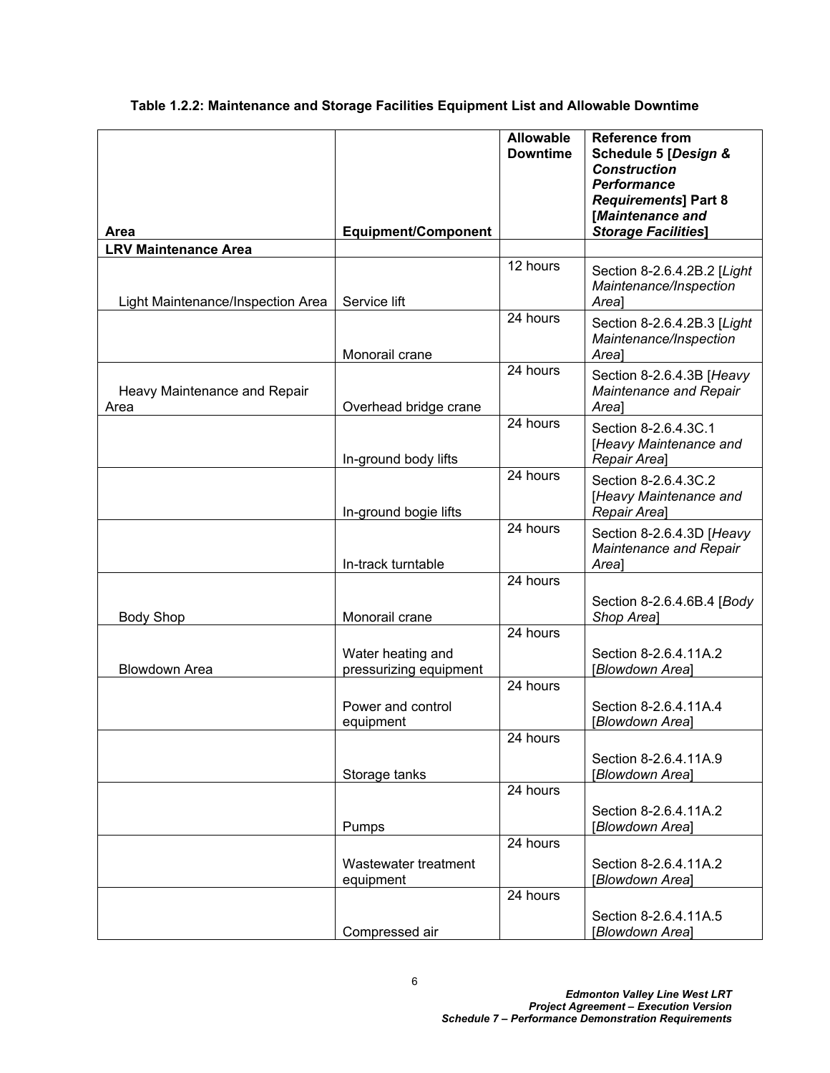<span id="page-7-0"></span>**Table 1.2.2: Maintenance and Storage Facilities Equipment List and Allowable Downtime**

| Area                                 | <b>Equipment/Component</b>                  | <b>Allowable</b><br><b>Downtime</b> | <b>Reference from</b><br>Schedule 5 [Design &<br><b>Construction</b><br><b>Performance</b><br><b>Requirements] Part 8</b><br>[Maintenance and<br><b>Storage Facilities]</b> |
|--------------------------------------|---------------------------------------------|-------------------------------------|-----------------------------------------------------------------------------------------------------------------------------------------------------------------------------|
| <b>LRV Maintenance Area</b>          |                                             |                                     |                                                                                                                                                                             |
| Light Maintenance/Inspection Area    | Service lift                                | 12 hours                            | Section 8-2.6.4.2B.2 [Light<br>Maintenance/Inspection<br>Area]                                                                                                              |
|                                      | Monorail crane                              | 24 hours                            | Section 8-2.6.4.2B.3 [Light<br>Maintenance/Inspection<br>Area]                                                                                                              |
| Heavy Maintenance and Repair<br>Area | Overhead bridge crane                       | 24 hours                            | Section 8-2.6.4.3B [Heavy<br>Maintenance and Repair<br>Area]                                                                                                                |
|                                      | In-ground body lifts                        | 24 hours                            | Section 8-2.6.4.3C.1<br>[Heavy Maintenance and<br>Repair Areal                                                                                                              |
|                                      | In-ground bogie lifts                       | $\overline{2}4$ hours               | Section 8-2.6.4.3C.2<br>[Heavy Maintenance and<br>Repair Areal                                                                                                              |
|                                      | In-track turntable                          | $\overline{2}4$ hours               | Section 8-2.6.4.3D [Heavy<br>Maintenance and Repair<br>Area]                                                                                                                |
| <b>Body Shop</b>                     | Monorail crane                              | 24 hours                            | Section 8-2.6.4.6B.4 [Body<br>Shop Area]                                                                                                                                    |
| <b>Blowdown Area</b>                 | Water heating and<br>pressurizing equipment | 24 hours                            | Section 8-2.6.4.11A.2<br>[Blowdown Area]                                                                                                                                    |
|                                      | Power and control<br>equipment              | 24 hours                            | Section 8-2.6.4.11A.4<br>[Blowdown Area]                                                                                                                                    |
|                                      | Storage tanks                               | 24 hours                            | Section 8-2.6.4.11A.9<br>[Blowdown Area]                                                                                                                                    |
|                                      | Pumps                                       | 24 hours                            | Section 8-2.6.4.11A.2<br>[Blowdown Area]                                                                                                                                    |
|                                      | Wastewater treatment<br>equipment           | 24 hours                            | Section 8-2.6.4.11A.2<br>[Blowdown Area]                                                                                                                                    |
|                                      | Compressed air                              | 24 hours                            | Section 8-2.6.4.11A.5<br>[Blowdown Area]                                                                                                                                    |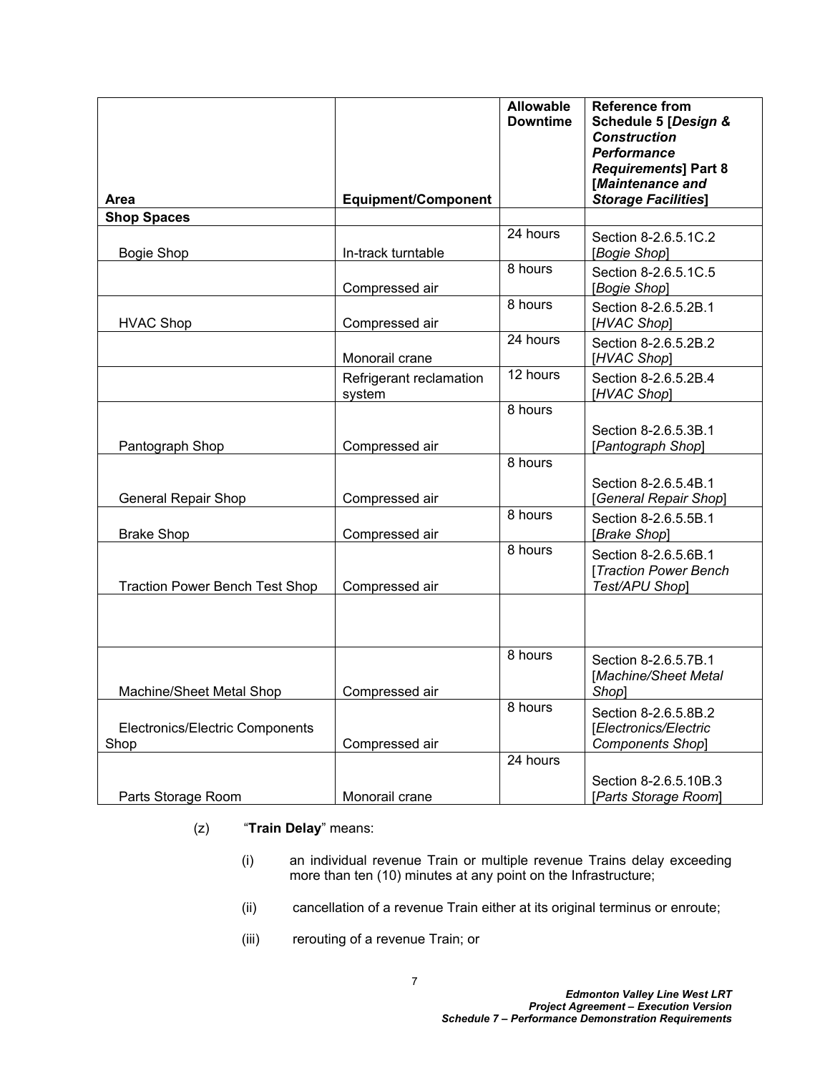| Area                                    | <b>Equipment/Component</b>        | <b>Allowable</b><br><b>Downtime</b> | <b>Reference from</b><br>Schedule 5 [Design &<br><b>Construction</b><br><b>Performance</b><br><b>Requirements] Part 8</b><br>[Maintenance and<br><b>Storage Facilities]</b> |
|-----------------------------------------|-----------------------------------|-------------------------------------|-----------------------------------------------------------------------------------------------------------------------------------------------------------------------------|
| <b>Shop Spaces</b>                      |                                   |                                     |                                                                                                                                                                             |
| <b>Bogie Shop</b>                       | In-track turntable                | 24 hours                            | Section 8-2.6.5.1C.2<br>[Bogie Shop]                                                                                                                                        |
|                                         | Compressed air                    | 8 hours                             | Section 8-2.6.5.1C.5<br>[Bogie Shop]                                                                                                                                        |
| <b>HVAC Shop</b>                        | Compressed air                    | 8 hours                             | Section 8-2.6.5.2B.1<br>[HVAC Shop]                                                                                                                                         |
|                                         | Monorail crane                    | 24 hours                            | Section 8-2.6.5.2B.2<br>[HVAC Shop]                                                                                                                                         |
|                                         | Refrigerant reclamation<br>system | 12 hours                            | Section 8-2.6.5.2B.4<br>[HVAC Shop]                                                                                                                                         |
|                                         |                                   | 8 hours                             |                                                                                                                                                                             |
| Pantograph Shop                         | Compressed air                    |                                     | Section 8-2.6.5.3B.1<br>[Pantograph Shop]                                                                                                                                   |
| General Repair Shop                     | Compressed air                    | 8 hours                             | Section 8-2.6.5.4B.1<br>[General Repair Shop]                                                                                                                               |
| <b>Brake Shop</b>                       | Compressed air                    | 8 hours                             | Section 8-2.6.5.5B.1<br>[Brake Shop]                                                                                                                                        |
| <b>Traction Power Bench Test Shop</b>   | Compressed air                    | 8 hours                             | Section 8-2.6.5.6B.1<br>[Traction Power Bench<br>Test/APU Shop]                                                                                                             |
|                                         |                                   |                                     |                                                                                                                                                                             |
| Machine/Sheet Metal Shop                | Compressed air                    | 8 hours                             | Section 8-2.6.5.7B.1<br>[Machine/Sheet Metal<br>Shop]                                                                                                                       |
| Electronics/Electric Components<br>Shop | Compressed air                    | 8 hours                             | Section 8-2.6.5.8B.2<br>[Electronics/Electric<br>Components Shop]                                                                                                           |
| Parts Storage Room                      | Monorail crane                    | 24 hours                            | Section 8-2.6.5.10B.3<br>[Parts Storage Room]                                                                                                                               |

- (z) "**Train Delay**" means:
	- (i) an individual revenue Train or multiple revenue Trains delay exceeding more than ten (10) minutes at any point on the Infrastructure;
	- (ii) cancellation of a revenue Train either at its original terminus or enroute;
	- (iii) rerouting of a revenue Train; or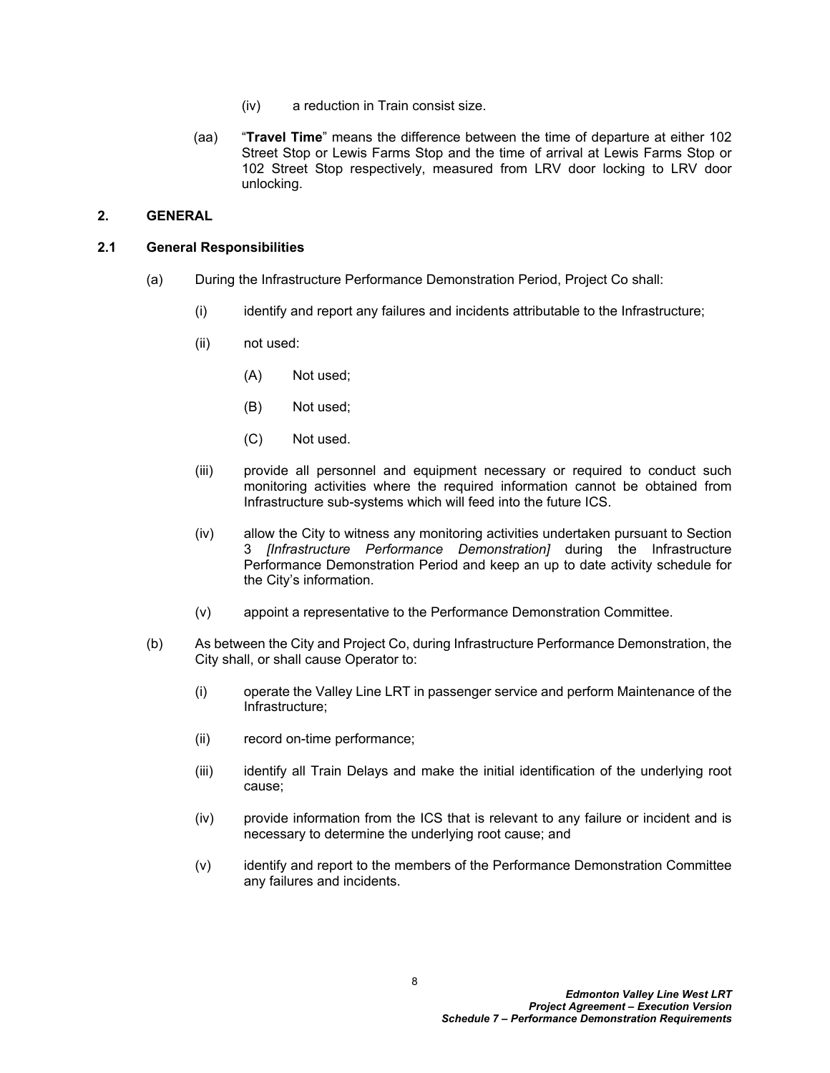- (iv) a reduction in Train consist size.
- (aa) "**Travel Time**" means the difference between the time of departure at either 102 Street Stop or Lewis Farms Stop and the time of arrival at Lewis Farms Stop or 102 Street Stop respectively, measured from LRV door locking to LRV door unlocking.

## <span id="page-9-0"></span>**2. GENERAL**

#### <span id="page-9-1"></span>**2.1 General Responsibilities**

- (a) During the Infrastructure Performance Demonstration Period, Project Co shall:
	- (i) identify and report any failures and incidents attributable to the Infrastructure;
	- (ii) not used:
		- (A) Not used;
		- (B) Not used;
		- (C) Not used.
	- (iii) provide all personnel and equipment necessary or required to conduct such monitoring activities where the required information cannot be obtained from Infrastructure sub-systems which will feed into the future ICS.
	- (iv) allow the City to witness any monitoring activities undertaken pursuant to Section [3](#page-10-0) *[Infrastructure Performance Demonstration]* during the Infrastructure Performance Demonstration Period and keep an up to date activity schedule for the City's information.
	- (v) appoint a representative to the Performance Demonstration Committee.
- (b) As between the City and Project Co, during Infrastructure Performance Demonstration, the City shall, or shall cause Operator to:
	- (i) operate the Valley Line LRT in passenger service and perform Maintenance of the Infrastructure;
	- (ii) record on-time performance;
	- (iii) identify all Train Delays and make the initial identification of the underlying root cause;
	- (iv) provide information from the ICS that is relevant to any failure or incident and is necessary to determine the underlying root cause; and
	- (v) identify and report to the members of the Performance Demonstration Committee any failures and incidents.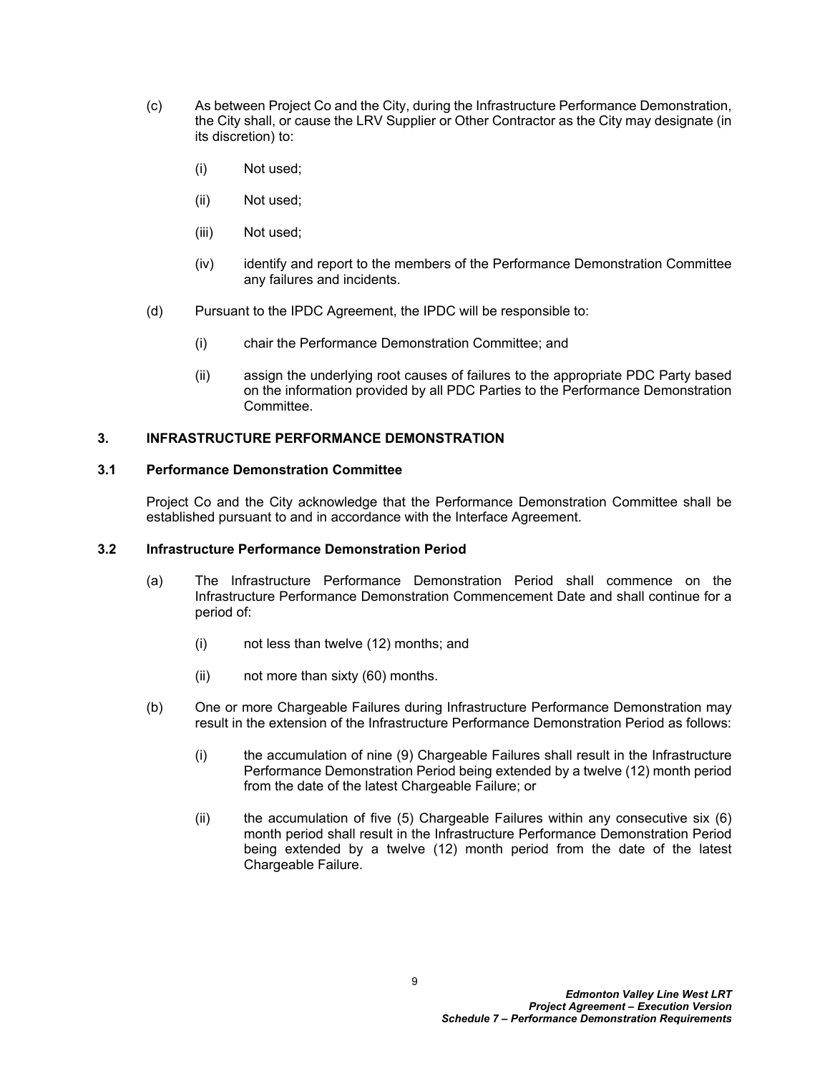- (c) As between Project Co and the City, during the Infrastructure Performance Demonstration, the City shall, or cause the LRV Supplier or Other Contractor as the City may designate (in its discretion) to:
	- (i) Not used;
	- (ii) Not used;
	- (iii) Not used;
	- (iv) identify and report to the members of the Performance Demonstration Committee any failures and incidents.
- (d) Pursuant to the IPDC Agreement, the IPDC will be responsible to:
	- (i) chair the Performance Demonstration Committee; and
	- (ii) assign the underlying root causes of failures to the appropriate PDC Party based on the information provided by all PDC Parties to the Performance Demonstration **Committee.**

#### <span id="page-10-0"></span>**3. INFRASTRUCTURE PERFORMANCE DEMONSTRATION**

#### <span id="page-10-1"></span>**3.1 Performance Demonstration Committee**

Project Co and the City acknowledge that the Performance Demonstration Committee shall be established pursuant to and in accordance with the Interface Agreement.

#### <span id="page-10-2"></span>**3.2 Infrastructure Performance Demonstration Period**

- <span id="page-10-3"></span>(a) The Infrastructure Performance Demonstration Period shall commence on the Infrastructure Performance Demonstration Commencement Date and shall continue for a period of:
	- (i) not less than twelve (12) months; and
	- (ii) not more than sixty (60) months.
- (b) One or more Chargeable Failures during Infrastructure Performance Demonstration may result in the extension of the Infrastructure Performance Demonstration Period as follows:
	- (i) the accumulation of nine (9) Chargeable Failures shall result in the Infrastructure Performance Demonstration Period being extended by a twelve (12) month period from the date of the latest Chargeable Failure; or
	- (ii) the accumulation of five  $(5)$  Chargeable Failures within any consecutive six  $(6)$ month period shall result in the Infrastructure Performance Demonstration Period being extended by a twelve (12) month period from the date of the latest Chargeable Failure.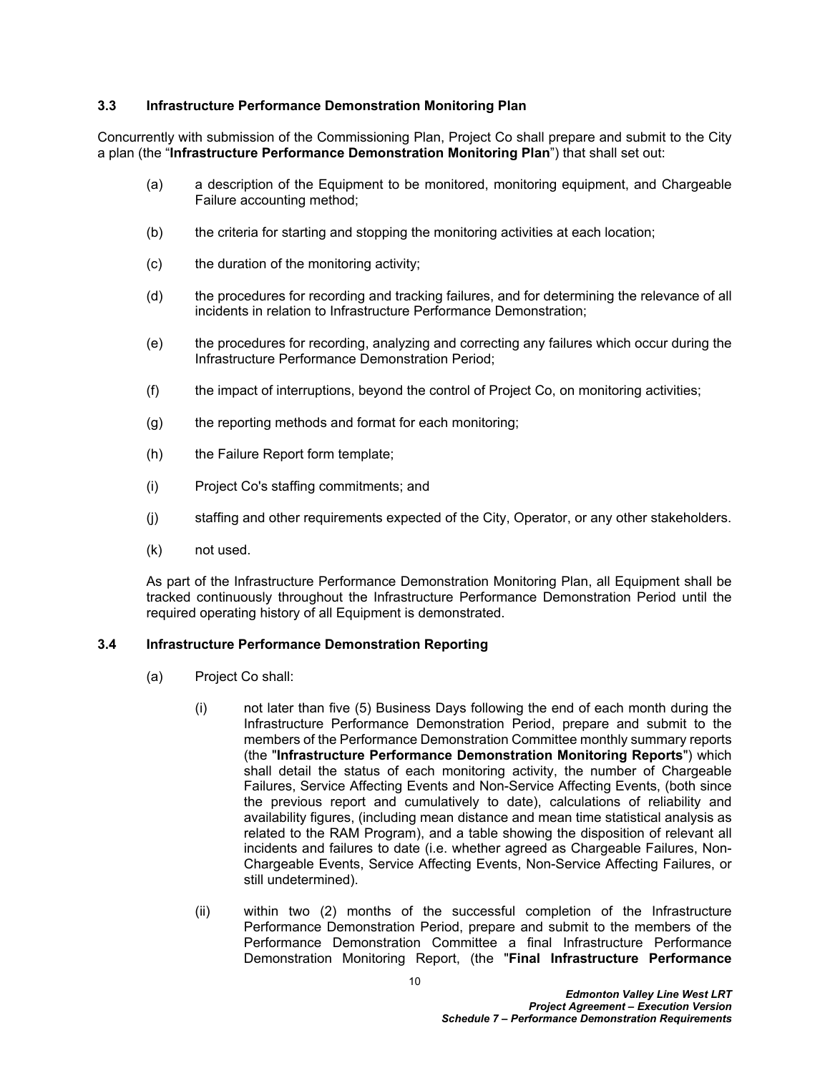#### <span id="page-11-0"></span>**3.3 Infrastructure Performance Demonstration Monitoring Plan**

Concurrently with submission of the Commissioning Plan, Project Co shall prepare and submit to the City a plan (the "**Infrastructure Performance Demonstration Monitoring Plan**") that shall set out:

- (a) a description of the Equipment to be monitored, monitoring equipment, and Chargeable Failure accounting method;
- (b) the criteria for starting and stopping the monitoring activities at each location;
- (c) the duration of the monitoring activity;
- (d) the procedures for recording and tracking failures, and for determining the relevance of all incidents in relation to Infrastructure Performance Demonstration;
- (e) the procedures for recording, analyzing and correcting any failures which occur during the Infrastructure Performance Demonstration Period;
- (f) the impact of interruptions, beyond the control of Project Co, on monitoring activities;
- (g) the reporting methods and format for each monitoring;
- (h) the Failure Report form template;
- (i) Project Co's staffing commitments; and
- (j) staffing and other requirements expected of the City, Operator, or any other stakeholders.
- (k) not used.

As part of the Infrastructure Performance Demonstration Monitoring Plan, all Equipment shall be tracked continuously throughout the Infrastructure Performance Demonstration Period until the required operating history of all Equipment is demonstrated.

#### <span id="page-11-1"></span>**3.4 Infrastructure Performance Demonstration Reporting**

- <span id="page-11-2"></span>(a) Project Co shall:
	- (i) not later than five (5) Business Days following the end of each month during the Infrastructure Performance Demonstration Period, prepare and submit to the members of the Performance Demonstration Committee monthly summary reports (the "**Infrastructure Performance Demonstration Monitoring Reports**") which shall detail the status of each monitoring activity, the number of Chargeable Failures, Service Affecting Events and Non-Service Affecting Events, (both since the previous report and cumulatively to date), calculations of reliability and availability figures, (including mean distance and mean time statistical analysis as related to the RAM Program), and a table showing the disposition of relevant all incidents and failures to date (i.e. whether agreed as Chargeable Failures, Non-Chargeable Events, Service Affecting Events, Non-Service Affecting Failures, or still undetermined).
	- (ii) within two (2) months of the successful completion of the Infrastructure Performance Demonstration Period, prepare and submit to the members of the Performance Demonstration Committee a final Infrastructure Performance Demonstration Monitoring Report, (the "**Final Infrastructure Performance**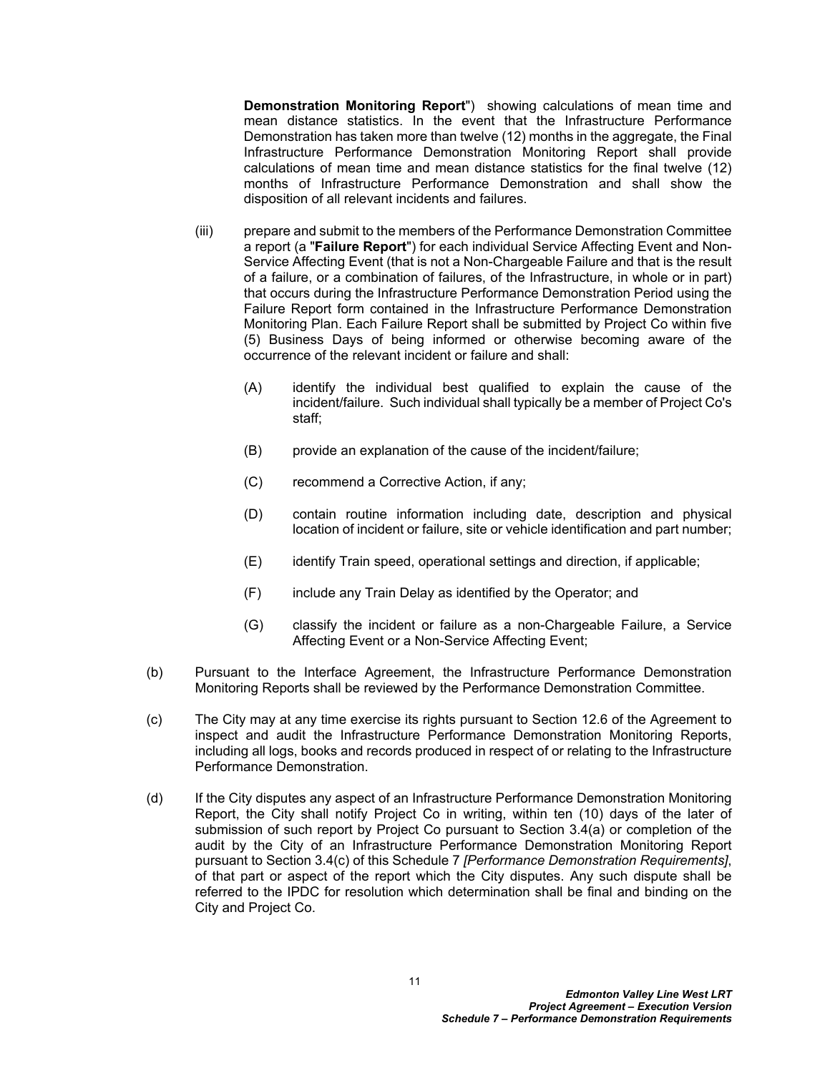**Demonstration Monitoring Report**") showing calculations of mean time and mean distance statistics. In the event that the Infrastructure Performance Demonstration has taken more than twelve (12) months in the aggregate, the Final Infrastructure Performance Demonstration Monitoring Report shall provide calculations of mean time and mean distance statistics for the final twelve (12) months of Infrastructure Performance Demonstration and shall show the disposition of all relevant incidents and failures.

- (iii) prepare and submit to the members of the Performance Demonstration Committee a report (a "**Failure Report**") for each individual Service Affecting Event and Non-Service Affecting Event (that is not a Non-Chargeable Failure and that is the result of a failure, or a combination of failures, of the Infrastructure, in whole or in part) that occurs during the Infrastructure Performance Demonstration Period using the Failure Report form contained in the Infrastructure Performance Demonstration Monitoring Plan. Each Failure Report shall be submitted by Project Co within five (5) Business Days of being informed or otherwise becoming aware of the occurrence of the relevant incident or failure and shall:
	- (A) identify the individual best qualified to explain the cause of the incident/failure. Such individual shall typically be a member of Project Co's staff;
	- (B) provide an explanation of the cause of the incident/failure;
	- (C) recommend a Corrective Action, if any;
	- (D) contain routine information including date, description and physical location of incident or failure, site or vehicle identification and part number;
	- (E) identify Train speed, operational settings and direction, if applicable;
	- (F) include any Train Delay as identified by the Operator; and
	- (G) classify the incident or failure as a non-Chargeable Failure, a Service Affecting Event or a Non-Service Affecting Event;
- (b) Pursuant to the Interface Agreement, the Infrastructure Performance Demonstration Monitoring Reports shall be reviewed by the Performance Demonstration Committee.
- <span id="page-12-0"></span>(c) The City may at any time exercise its rights pursuant to Section 12.6 of the Agreement to inspect and audit the Infrastructure Performance Demonstration Monitoring Reports, including all logs, books and records produced in respect of or relating to the Infrastructure Performance Demonstration.
- (d) If the City disputes any aspect of an Infrastructure Performance Demonstration Monitoring Report, the City shall notify Project Co in writing, within ten (10) days of the later of submission of such report by Project Co pursuant to Section [3.4\(a\)](#page-11-2) or completion of the audit by the City of an Infrastructure Performance Demonstration Monitoring Report pursuant to Section [3.4\(c\)](#page-12-0) of this Schedule 7 *[Performance Demonstration Requirements]*, of that part or aspect of the report which the City disputes. Any such dispute shall be referred to the IPDC for resolution which determination shall be final and binding on the City and Project Co.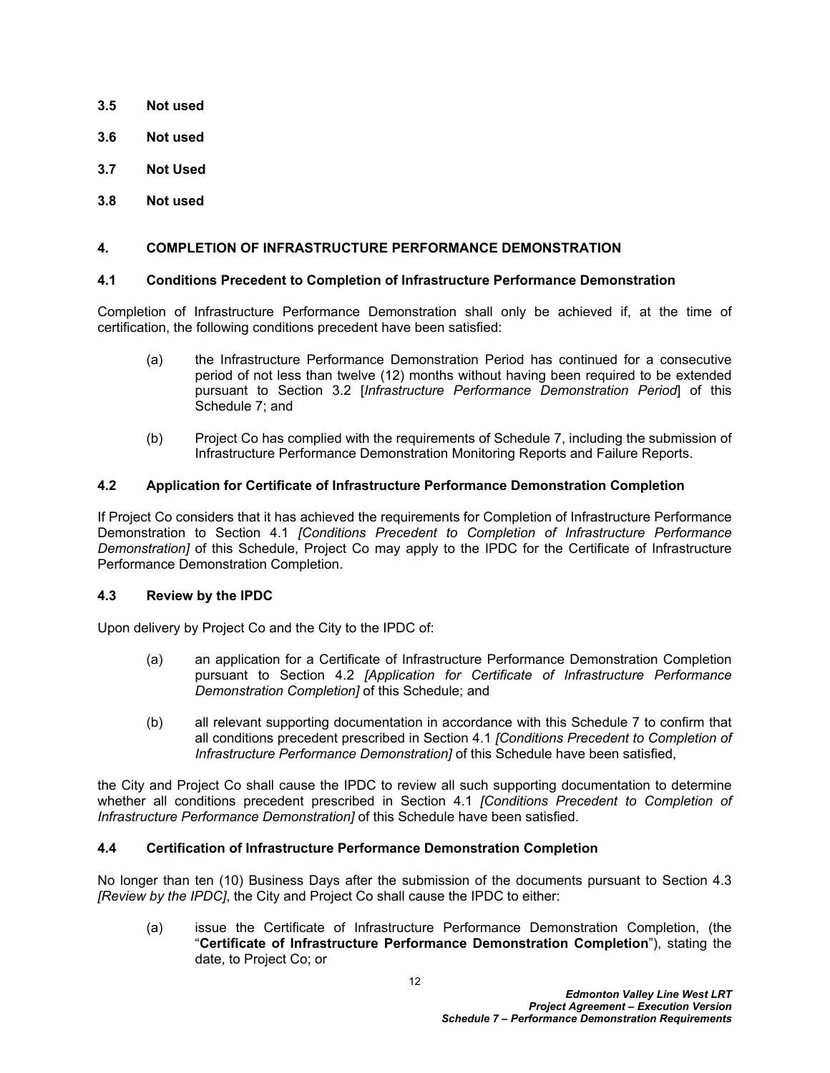- <span id="page-13-0"></span>**3.5 Not used**
- <span id="page-13-1"></span>**3.6 Not used**
- <span id="page-13-2"></span>**3.7 Not Used**
- <span id="page-13-3"></span>**3.8 Not used**

## <span id="page-13-4"></span>**4. COMPLETION OF INFRASTRUCTURE PERFORMANCE DEMONSTRATION**

## <span id="page-13-5"></span>**4.1 Conditions Precedent to Completion of Infrastructure Performance Demonstration**

Completion of Infrastructure Performance Demonstration shall only be achieved if, at the time of certification, the following conditions precedent have been satisfied:

- (a) the Infrastructure Performance Demonstration Period has continued for a consecutive period of not less than twelve (12) months without having been required to be extended pursuant to Section [3.2](#page-10-2) [*Infrastructure Performance Demonstration Period*] of this Schedule 7; and
- (b) Project Co has complied with the requirements of Schedule 7, including the submission of Infrastructure Performance Demonstration Monitoring Reports and Failure Reports.

## <span id="page-13-6"></span>**4.2 Application for Certificate of Infrastructure Performance Demonstration Completion**

If Project Co considers that it has achieved the requirements for Completion of Infrastructure Performance Demonstration to Section [4.1](#page-13-5) *[Conditions Precedent to Completion of Infrastructure Performance Demonstration]* of this Schedule, Project Co may apply to the IPDC for the Certificate of Infrastructure Performance Demonstration Completion.

#### <span id="page-13-7"></span>**4.3 Review by the IPDC**

Upon delivery by Project Co and the City to the IPDC of:

- (a) an application for a Certificate of Infrastructure Performance Demonstration Completion pursuant to Section [4.2](#page-13-6) *[Application for Certificate of Infrastructure Performance Demonstration Completion]* of this Schedule; and
- (b) all relevant supporting documentation in accordance with this Schedule 7 to confirm that all conditions precedent prescribed in Section [4.1](#page-13-5) *[Conditions Precedent to Completion of Infrastructure Performance Demonstration]* of this Schedule have been satisfied,

the City and Project Co shall cause the IPDC to review all such supporting documentation to determine whether all conditions precedent prescribed in Section [4.1](#page-13-5) *[Conditions Precedent to Completion of Infrastructure Performance Demonstration]* of this Schedule have been satisfied.

#### <span id="page-13-8"></span>**4.4 Certification of Infrastructure Performance Demonstration Completion**

No longer than ten (10) Business Days after the submission of the documents pursuant to Section [4.3](#page-13-7)  *[Review by the IPDC]*, the City and Project Co shall cause the IPDC to either:

(a) issue the Certificate of Infrastructure Performance Demonstration Completion, (the "**Certificate of Infrastructure Performance Demonstration Completion**"), stating the date, to Project Co; or